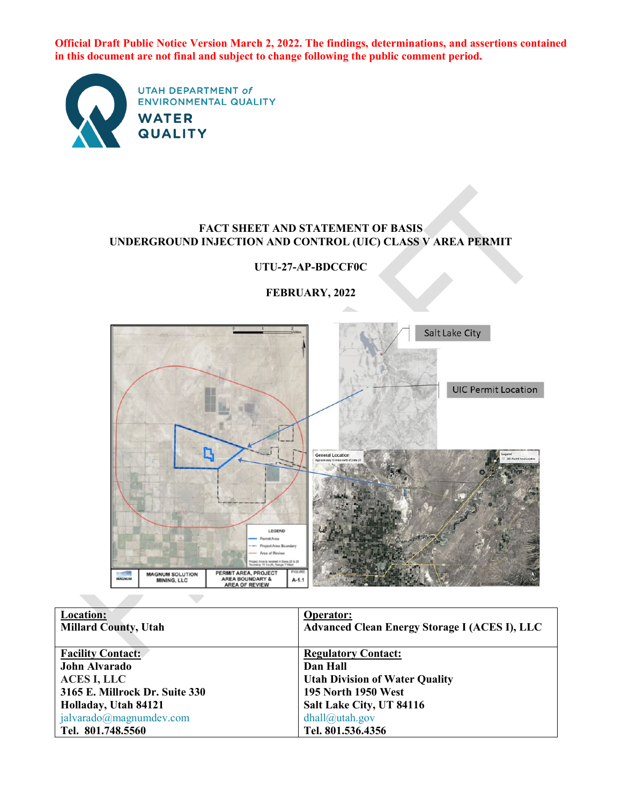**Official Draft Public Notice Version March 2, 2022. The findings, determinations, and assertions contained in this document are not final and subject to change following the public comment period.**



#### **FACT SHEET AND STATEMENT OF BASIS UNDERGROUND INJECTION AND CONTROL (UIC) CLASS V AREA PERMIT**



**FEBRUARY, 2022**

**UTU-27-AP-BDCCF0C**

| Location:                      | Operator:                                            |
|--------------------------------|------------------------------------------------------|
| <b>Millard County, Utah</b>    | <b>Advanced Clean Energy Storage I (ACES I), LLC</b> |
|                                |                                                      |
| <b>Facility Contact:</b>       | <b>Regulatory Contact:</b>                           |
| John Alvarado                  | Dan Hall                                             |
| <b>ACES I, LLC</b>             | <b>Utah Division of Water Quality</b>                |
| 3165 E. Millrock Dr. Suite 330 | 195 North 1950 West                                  |
| Holladay, Utah 84121           | Salt Lake City, UT 84116                             |
| jalvarado@magnumdev.com        | $dhall@$ utah.gov                                    |
| Tel. 801.748.5560              | Tel. 801.536.4356                                    |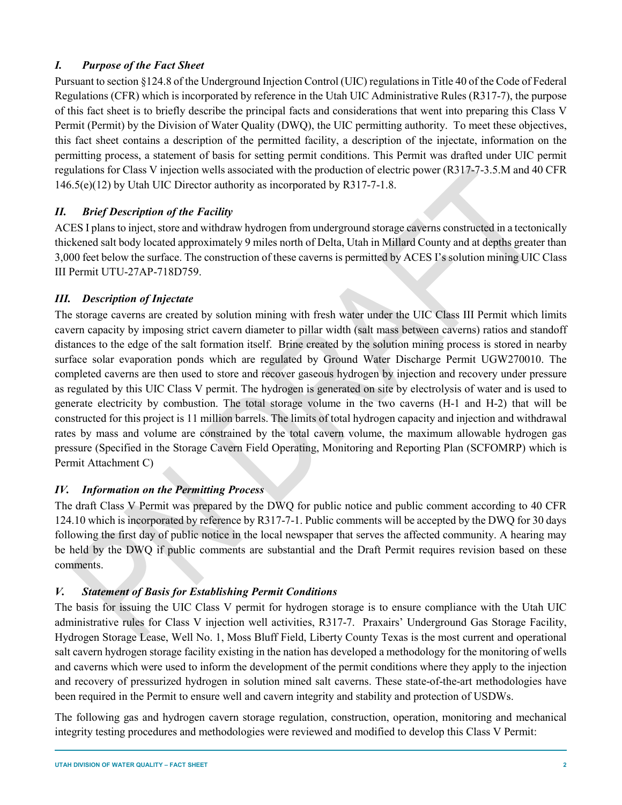## *I. Purpose of the Fact Sheet*

Pursuant to section §124.8 of the Underground Injection Control (UIC) regulations in Title 40 of the Code of Federal Regulations (CFR) which is incorporated by reference in the Utah UIC Administrative Rules (R317-7), the purpose of this fact sheet is to briefly describe the principal facts and considerations that went into preparing this Class V Permit (Permit) by the Division of Water Quality (DWQ), the UIC permitting authority. To meet these objectives, this fact sheet contains a description of the permitted facility, a description of the injectate, information on the permitting process, a statement of basis for setting permit conditions. This Permit was drafted under UIC permit regulations for Class V injection wells associated with the production of electric power (R317-7-3.5.M and 40 CFR 146.5(e)(12) by Utah UIC Director authority as incorporated by R317-7-1.8.

## *II. Brief Description of the Facility*

ACES I plans to inject, store and withdraw hydrogen from underground storage caverns constructed in a tectonically thickened salt body located approximately 9 miles north of Delta, Utah in Millard County and at depths greater than 3,000 feet below the surface. The construction of these caverns is permitted by ACES I's solution mining UIC Class III Permit UTU-27AP-718D759.

# *III. Description of Injectate*

The storage caverns are created by solution mining with fresh water under the UIC Class III Permit which limits cavern capacity by imposing strict cavern diameter to pillar width (salt mass between caverns) ratios and standoff distances to the edge of the salt formation itself. Brine created by the solution mining process is stored in nearby surface solar evaporation ponds which are regulated by Ground Water Discharge Permit UGW270010. The completed caverns are then used to store and recover gaseous hydrogen by injection and recovery under pressure as regulated by this UIC Class V permit. The hydrogen is generated on site by electrolysis of water and is used to generate electricity by combustion. The total storage volume in the two caverns (H-1 and H-2) that will be constructed for this project is 11 million barrels. The limits of total hydrogen capacity and injection and withdrawal rates by mass and volume are constrained by the total cavern volume, the maximum allowable hydrogen gas pressure (Specified in the Storage Cavern Field Operating, Monitoring and Reporting Plan (SCFOMRP) which is Permit Attachment C)

## *IV. Information on the Permitting Process*

The draft Class V Permit was prepared by the DWQ for public notice and public comment according to 40 CFR 124.10 which is incorporated by reference by R317-7-1. Public comments will be accepted by the DWQ for 30 days following the first day of public notice in the local newspaper that serves the affected community. A hearing may be held by the DWQ if public comments are substantial and the Draft Permit requires revision based on these comments.

## *V. Statement of Basis for Establishing Permit Conditions*

The basis for issuing the UIC Class V permit for hydrogen storage is to ensure compliance with the Utah UIC administrative rules for Class V injection well activities, R317-7. Praxairs' Underground Gas Storage Facility, Hydrogen Storage Lease, Well No. 1, Moss Bluff Field, Liberty County Texas is the most current and operational salt cavern hydrogen storage facility existing in the nation has developed a methodology for the monitoring of wells and caverns which were used to inform the development of the permit conditions where they apply to the injection and recovery of pressurized hydrogen in solution mined salt caverns. These state-of-the-art methodologies have been required in the Permit to ensure well and cavern integrity and stability and protection of USDWs.

The following gas and hydrogen cavern storage regulation, construction, operation, monitoring and mechanical integrity testing procedures and methodologies were reviewed and modified to develop this Class V Permit: